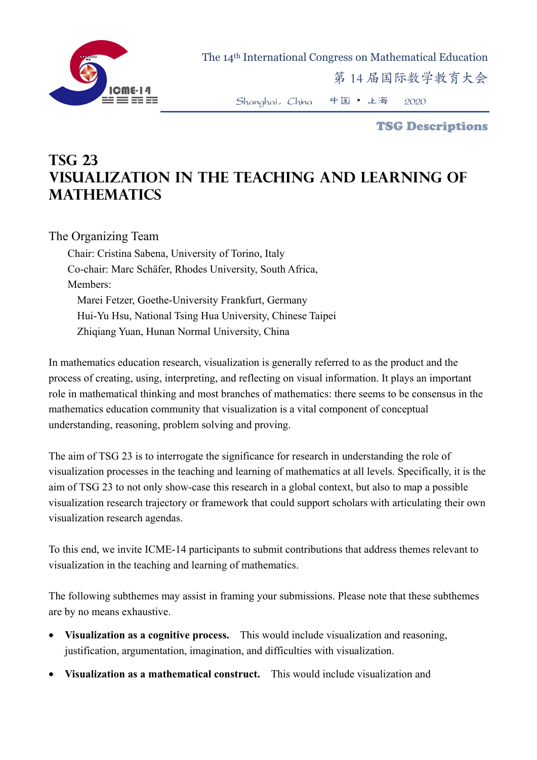

The 14th International Congress on Mathematical Education

第 14 届国际数学教育大会

Shanghai,China 中国 • 上海 2020

TSG Descriptions

## **TSG 23 Visualization in the teaching and learning of mathematics**

## The Organizing Team

Chair: Cristina Sabena, University of Torino, Italy Co-chair: Marc Schäfer, Rhodes University, South Africa, Members: Marei Fetzer, Goethe-University Frankfurt, Germany Hui-Yu Hsu, National Tsing Hua University, Chinese Taipei Zhiqiang Yuan, Hunan Normal University, China

In mathematics education research, visualization is generally referred to as the product and the process of creating, using, interpreting, and reflecting on visual information. It plays an important role in mathematical thinking and most branches of mathematics: there seems to be consensus in the mathematics education community that visualization is a vital component of conceptual understanding, reasoning, problem solving and proving.

The aim of TSG 23 is to interrogate the significance for research in understanding the role of visualization processes in the teaching and learning of mathematics at all levels. Specifically, it is the aim of TSG 23 to not only show-case this research in a global context, but also to map a possible visualization research trajectory or framework that could support scholars with articulating their own visualization research agendas.

To this end, we invite ICME-14 participants to submit contributions that address themes relevant to visualization in the teaching and learning of mathematics.

The following subthemes may assist in framing your submissions. Please note that these subthemes are by no means exhaustive.

- **Visualization as a cognitive process.** This would include visualization and reasoning, justification, argumentation, imagination, and difficulties with visualization.
- **Visualization as a mathematical construct.** This would include visualization and